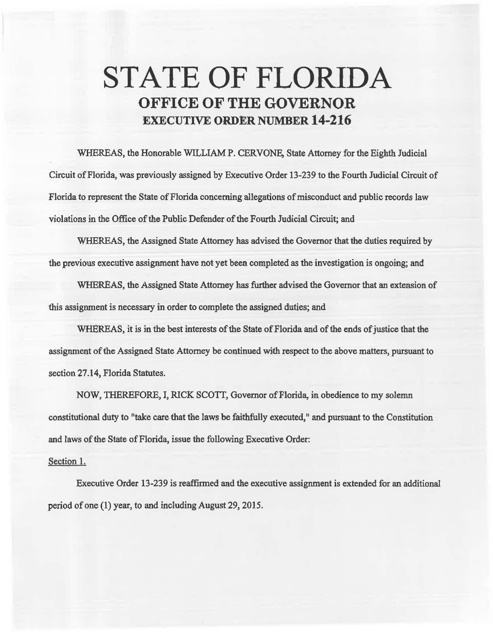## **STATE OF FLORIDA OFFICE OF THE GOVERNOR EXECUTIVE ORDER NUMBER 14-216**

WHEREAS, the Honorable WILLIAM P. CERVONE, State Attorney for the Eighth Judicial Circuit of Florida, was previously assigned by Executive Order 13-239 to the Fourth Judicial Circuit of Florida to represent the State of Florida concerning allegations of misconduct and public records law violations in the Office of the Public Defender of the Fourth Judicial Circuit; and

WHEREAS, the Assigned State Attorney has advised the Governor that the duties required by the previous executive assignment have not yet been completed *as* the investigation is ongoing; and

WHEREAS, the Assigned State Attorney has further advised the Governor that an extension of this assignment is necessary in order to complete the assigned duties; and

WHEREAS, it is in the best interests of the State of Florida and of the ends of justice that the assignment of the Assigned State Attorney be continued with respect to the above matters, pursuant to section 27.14, Florida Statutes.

NOW, THEREFORE, I, RICK SCOTT, Governor of Florida, in obedience to my solemn constitutional duty to "take care that the laws be faithfully executed," and pursuant to the Constitution and laws of the State of Florida, issue the following Executive Order:

## Section 1.

Executive Order 13-239 is reaffirmed and the executive assignment is extended for an additional period of one (1) year, to and including August 29, 2015.